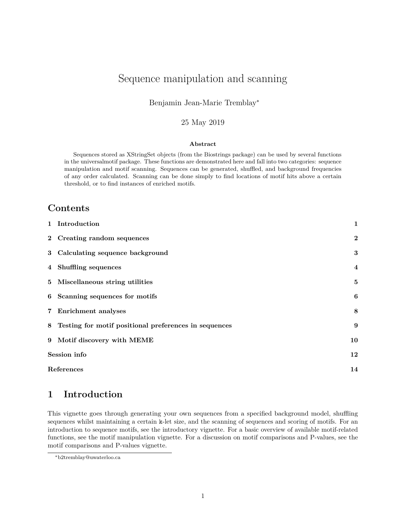# <span id="page-0-1"></span>Sequence manipulation and scanning

#### Benjamin Jean-Marie Tremblay<sup>∗</sup>

#### 25 May 2019

#### **Abstract**

Sequences stored as XStringSet objects (from the Biostrings package) can be used by several functions in the universalmotif package. These functions are demonstrated here and fall into two categories: sequence manipulation and motif scanning. Sequences can be generated, shuffled, and background frequencies of any order calculated. Scanning can be done simply to find locations of motif hits above a certain threshold, or to find instances of enriched motifs.

#### **Contents**

|              | 1 Introduction                                        | $\mathbf{1}$            |
|--------------|-------------------------------------------------------|-------------------------|
|              | 2 Creating random sequences                           | $\boldsymbol{2}$        |
|              | 3 Calculating sequence background                     | 3                       |
|              | 4 Shuffling sequences                                 | $\overline{\mathbf{4}}$ |
|              | 5 Miscellaneous string utilities                      | 5                       |
|              | 6 Scanning sequences for motifs                       | 6                       |
|              | 7 Enrichment analyses                                 | 8                       |
| 8            | Testing for motif positional preferences in sequences | 9                       |
| 9            | Motif discovery with MEME                             | 10                      |
| Session info |                                                       |                         |
| References   |                                                       |                         |

#### <span id="page-0-0"></span>**1 Introduction**

This vignette goes through generating your own sequences from a specified background model, shuffling sequences whilst maintaining a certain k-let size, and the scanning of sequences and scoring of motifs. For an introduction to sequence motifs, see the introductory vignette. For a basic overview of available motif-related functions, see the motif manipulation vignette. For a discussion on motif comparisons and P-values, see the motif comparisons and P-values vignette.

<sup>∗</sup>[b2tremblay@uwaterloo.ca](mailto:b2tremblay@uwaterloo.ca)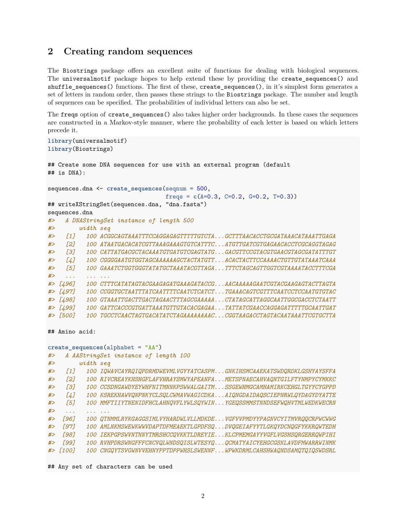#### <span id="page-1-0"></span>**2 Creating random sequences**

The Biostrings package offers an excellent suite of functions for dealing with biological sequences. The universalmotif package hopes to help extend these by providing the create sequences() and shuffle\_sequences() functions. The first of these, create\_sequences(), in it's simplest form generates a set of letters in random order, then passes these strings to the Biostrings package. The number and length of sequences can be specified. The probabilities of individual letters can also be set.

The freqs option of create\_sequences() also takes higher order backgrounds. In these cases the sequences are constructed in a Markov-style manner, where the probability of each letter is based on which letters precede it.

```
library(universalmotif)
library(Biostrings)
## Create some DNA sequences for use with an external program (default
## is DNA):
sequences.dna <- create_sequences(seqnum = 500,
                                freqs = c(A=0.3, C=0.2, G=0.2, T=0.3))
## writeXStringSet(sequences.dna, "dna.fasta")
sequences.dna
#> A DNAStringSet instance of length 500
#> width seq
#> [1] 100 ACGGCAGTAAATTTCCAGGAGAGTTTTTGTCTA...GCTTTAACACCTGCGATAAACATAAATTGAGA
#> [2] 100 ATAATGACACATCGTTAAAGAAAGTGTCATTTC...ATGTTGATCGTGAGAACACCTCGCAGGTAGAG
#> [3] 100 CATTATGACGCTACAAATGTGATGTCGAGTATG...GACGTTCCGTACGTGAACGTAGCGATATTTGT
#> [4] 100 CGGGGAATGTGGTAGCAAAAAAGCTACTATGTT...ACACTACTTCCAAAACTGTTGTATAAATCAAA
#> [5] 100 GAAATCTGGTGGGTATATGCTAAATACGTTAGA...TTTCTAGCAGTTGGTCGTAAAATACCTTTCGA
#> ... ... ...
#> [496] 100 CTTTCATATAGTACGAAGAGATGAAAGATACCG...AACAAAAAGAATCGTACGAAGAGTACTTAGTA
#> [497] 100 CCGGTGCTAATTTATCAATTTTCAATCTCATCT...TGAAACAGTCGTTTCAATCCTCCAATGTGTAC
#> [498] 100 GTAAATTGACTTGACTAGAACTTTAGCGAAAAA...CTATAGCATTAGGCAATTGGCGACCTCTAATT
#> [499] 100 GATTCACCCGTGATTAAATGTTGTACACGAGAA...TATTATCGAACCAGGAGATTTTTGCAATTGAT
#> [500] 100 TGCCTCAACTAGTGACATATCTAGAAAAAAAAC...CGGTAAGACCTAGTACAATAAATTCGTGCTTA
## Amino acid:
create_sequences(alphabet = "AA")
#> A AAStringSet instance of length 100
#> width seq
#> [1] 100 IQWAVCAYRQIQPDRMDWEVMLVGYYATCASPM...GNKIHSMCAAEKATSWDQRDKLGSHYAYSFFA
#> [2] 100 RIVCREAYKHSHGFLAFVHRAYSMWYAPEANFA...METSPNAECAHVAQNTGILFTYNMPYCYMKKC
#> [3] 100 CCSDNGAWDYEYWHFNITMNNKPSWWALGAITM...SSGEWHMGCAMHAMIRKCEHGLTGYYCYGPPD
#> [4] 100 KSREKHAWVQNPNKYCLSQLCWMAVWAGICDKA...AIQNGDAIDAQSCIEPNRWLQYDAGYDYATTE
#> [5] 100 MMFTIIYTNENIDFHCLAHNQVFLYWLSQYWIN...YGEQSSMMSTNNDSEFWQHVTMLWEDKWECRN
#> ... ... ...
#> [96] 100 QTNMMLRYKGAGGSIMLVYHARDWLVLLMDKDE...VGFVVPMDYYPAGNVCYITMVRQQCRPWCWWG
#> [97] 100 AMLNKMSWEWKWWVDAPTDFMEAEKTLGPDFSQ...DVQGEIAFYYTLGKQYDCNQGFYKKRQWTEDH
#> [98] 100 IEKPGPSWVNTNNYTMRSHCCQVKKTLDREYIE...KLCPMEMGAYYVGFLVGSHSQRGERRQWPIHI
#> [99] 100 RVHPDRSWNGFFFCNCVQLWNDSQISLWTESYQ...QCMATYAICYEHGCGSKLAVDFMWARRWINMK
#> [100] 100 CNGQYTSVGWNVVEHNYPPTDPPWHSLSWENNF...WPWKDRMLCAHSHWAQNDSAMQTQIQSWDSRL
```
## Any set of characters can be used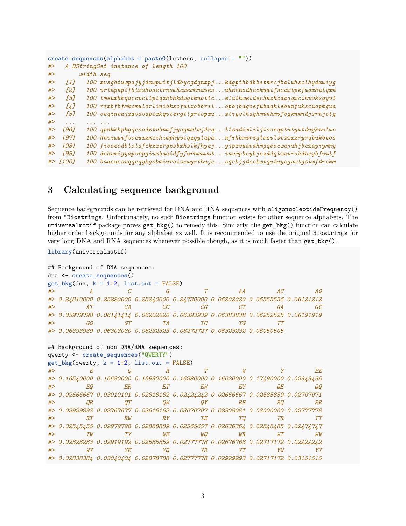```
create_sequences(alphabet = paste0(letters, collapse = ""))
#> A BStringSet instance of length 100
#> width seq
#> [1] 100 xvsghtuwpajyjdxwpwitjldbycgdgnxpj...kdgpthbdbbstnrcjbalwhsclhydxwiyg
#> [2] 100 vrlnpnptfbtxshvsetrnswhcxemhnaves...uhnenodhccknaifscaxtpkfwoxhutqxn
#> [3] 100 tmeuxhkquccvcltptqzhbhkdwgtkuottc...eluthweldechnzhcdajqxcihvvksqyvt
#> [4] 100 rixbfbfmkcmulorlinibksofuizobbril...opbjbdgoefubaqklebunfukscuopmgua
#> [5] 100 oeqinvajzdvsvspixkqvtergtlgriopxu...ztiyvlhsghmvnhmvfbgknmndjsrnjotg
#> ... ... ...
#> [96] 100 qpnkkbpkgqcsodztvbnmfjyogmmlmjdrq...ltzadixliljiooeqptutywtduyknvtwc
#> [97] 100 hnviwuifvocuwzmcihimphyviqegytapa...nfihbmzrzgtmcvlsvzxxzryrqbukbeos
#> [98] 100 fiooeodblolsfckzxergzsbxhslkfhyej...yjpxvuavahmgqmocwajuhjbcxayiymny
#> [99] 100 dehvmiyyapvrpgivmbaaidfyfurnmuwut...invmpbcybjezddqlxavrobdneybfvulf
#> [100] 100 baacucsvqqeqykgsbxiuroizewyrthujc...sqcbjjdcckwtqutuyagowtgzlxfdrckm
```
#### <span id="page-2-0"></span>**3 Calculating sequence background**

Sequence backgrounds can be retrieved for DNA and RNA sequences with oligonucleotideFrequency() from "Biostrings. Unfortunately, no such Biostrings function exists for other sequence alphabets. The universalmotif package proves get\_bkg() to remedy this. Similarly, the get\_bkg() function can calculate higher order backgrounds for any alphabet as well. It is recommended to use the original Biostrings for very long DNA and RNA sequences whenever possible though, as it is much faster than get\_bkg().

```
library(universalmotif)
```

```
## Background of DNA sequences:
dna <- create_sequences()
get_bkg(dna, k = 1:2, list.out = FALSE)#> A C G T AA AC AG
#> 0.24810000 0.25220000 0.25240000 0.24730000 0.06202020 0.06555556 0.06121212
#> AT CA CC CG CT GA GC
#> 0.05979798 0.06141414 0.06202020 0.06393939 0.06383838 0.06252525 0.06191919
#> GG GT TA TC TG TT
#> 0.06393939 0.06303030 0.06232323 0.06272727 0.06323232 0.06050505
## Background of non DNA/RNA sequences:
qwerty <- create_sequences("QWERTY")
get_bkg(qwerty, k = 1:2, list.out = FALSE)
#> E Q R T W Y EE
#> 0.16540000 0.16680000 0.16990000 0.16280000 0.16020000 0.17490000 0.02949495
#> EQ ER ET EW EY QE QQ
#> 0.02666667 0.03010101 0.02818182 0.02424242 0.02666667 0.02585859 0.02707071
#> QR QT QW QY RE RQ RR
#> 0.02929293 0.02767677 0.02616162 0.03070707 0.02808081 0.03000000 0.02777778
#> RT RW RY TE TQ TR TT
#> 0.02545455 0.02979798 0.02888889 0.02565657 0.02636364 0.02848485 0.02474747
#> TW TY WE WQ WR WT WW
#> 0.02828283 0.02919192 0.02585859 0.02777778 0.02676768 0.02717172 0.02424242
#> WY YE YQ YR YT YW YY
#> 0.02838384 0.03040404 0.02878788 0.02777778 0.02929293 0.02717172 0.03151515
```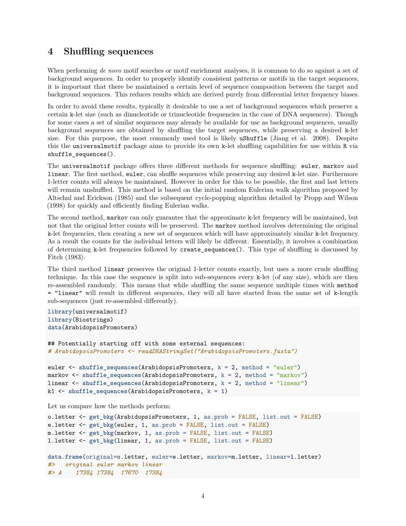#### <span id="page-3-0"></span>**4 Shuffling sequences**

When performing *de novo* motif searches or motif enrichment analyses, it is common to do so against a set of background sequences. In order to properly identify consistent patterns or motifs in the target sequences, it is important that there be maintained a certain level of sequence composition between the target and background sequences. This reduces results which are derived purely from differential letter frequency biases.

In order to avoid these results, typically it desirable to use a set of background sequences which preserve a certain k-let size (such as dinucleotide or trinucleotide frequencies in the case of DNA sequences). Though for some cases a set of similar sequences may already be available for use as background sequences, usually background sequences are obtained by shuffling the target sequences, while preserving a desired k-let size. For this purpose, the most commonly used tool is likely uShuffle (Jiang et al. 2008). Despite this the universalmotif package aims to provide its own k-let shuffling capabilities for use within R via shuffle\_sequences().

The universalmotif package offers three different methods for sequence shuffling: euler, markov and linear. The first method, euler, can shuffle sequences while preserving any desired k-let size. Furthermore 1-letter counts will always be maintained. However in order for this to be possible, the first and last letters will remain unshuffled. This method is based on the initial random Eulerian walk algorithm proposed by Altschul and Erickson (1985) and the subsequent cycle-popping algorithm detailed by Propp and Wilson (1998) for quickly and efficiently finding Eulerian walks.

The second method, markov can only guarantee that the approximate k-let frequency will be maintained, but not that the original letter counts will be preserved. The markov method involves determining the original k-let frequencies, then creating a new set of sequences which will have approximately similar k-let frequency. As a result the counts for the individual letters will likely be different. Essentially, it involves a combination of determining k-let frequencies followed by create\_sequences(). This type of shuffling is discussed by Fitch (1983).

The third method linear preserves the original 1-letter counts exactly, but uses a more crude shuffling technique. In this case the sequence is split into sub-sequences every k-let (of any size), which are then re-assembled randomly. This means that while shuffling the same sequence multiple times with method = "linear" will result in different sequences, they will all have started from the same set of k-length sub-sequences (just re-assembled differently).

```
library(universalmotif)
library(Biostrings)
data(ArabidopsisPromoters)
```

```
## Potentially starting off with some external sequences:
# ArabidopsisPromoters <- readDNAStringSet("ArabidopsisPromoters.fasta")
```

```
euler <- shuffle_sequences(ArabidopsisPromoters, k = 2, method = "euler")
markov <- shuffle_sequences(ArabidopsisPromoters, k = 2, method = "markov")
linear <- shuffle_sequences(ArabidopsisPromoters, k = 2, method = "linear")
k1 <- shuffle_sequences(ArabidopsisPromoters, k = 1)
```
Let us compare how the methods perform:

```
o.letter <- get_bkg(ArabidopsisPromoters, 1, as.prob = FALSE, list.out = FALSE)
e.letter <- get_bkg(euler, 1, as.prob = FALSE, list.out = FALSE)
m.letter <- get_bkg(markov, 1, as.prob = FALSE, list.out = FALSE)
l.letter <- get_bkg(linear, 1, as.prob = FALSE, list.out = FALSE)
data.frame(original=o.letter, euler=e.letter, markov=m.letter, linear=l.letter)
#> original euler markov linear
#> A 17384 17384 17670 17384
```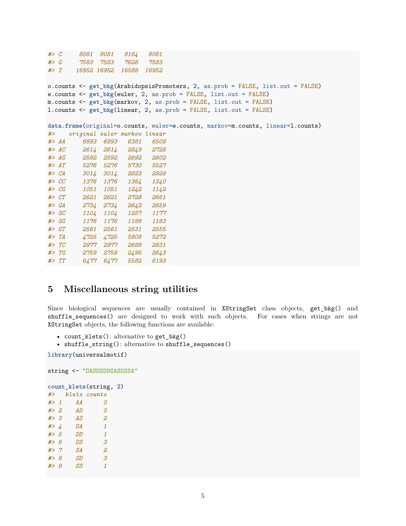```
#> C 8081 8081 8164 8081
#> G 7583 7583 7628 7583
#> T 16952 16952 16588 16952
o.counts <- get_bkg(ArabidopsisPromoters, 2, as.prob = FALSE, list.out = FALSE)
e.counts <- get_bkg(euler, 2, as.prob = FALSE, list.out = FALSE)
m.counts <- get_bkg(markov, 2, as.prob = FALSE, list.out = FALSE)
l.counts <- get_bkg(linear, 2, as.prob = FALSE, list.out = FALSE)
data.frame(original=o.counts, euler=e.counts, markov=m.counts, linear=l.counts)
#> original euler markov linear
#> AA 6893 6893 6381 6508
#> AC 2614 2614 2849 2728
#> AG 2592 2592 2692 2602
#> AT 5276 5276 5730 5527
#> CA 3014 3014 2823 2929
#> CC 1376 1376 1364 1340
#> CG 1051 1051 1242 1142
#> CT 2621 2621 2728 2661
#> GA 2734 2734 2642 2659
#> GC 1104 1104 1257 1177
#> GG 1176 1176 1188 1183
#> GT 2561 2561 2531 2555
#> TA 4725 4725 5808 5272
#> TC 2977 2977 2688 2831
#> TG 2759 2759 2495 2643
#> TT 6477 6477 5582 6193
```
# <span id="page-4-0"></span>**5 Miscellaneous string utilities**

Since biological sequences are usually contained in XStringSet class objects, get\_bkg() and shuffle\_sequences() are designed to work with such objects. For cases when strings are not XStringSet objects, the following functions are available:

- count\_klets(): alternative to get\_bkg()
- shuffle\_string(): alternative to shuffle\_sequences()

**library**(universalmotif)

```
string <- "DASDSDDSASDSSA"
```
**count\_klets**(string, 2) *#> klets counts #> 1 AA 0*

*#> 2 AD 0 #> 3 AS 2 #> 4 DA 1 #> 5 DD 1 #> 6 DS 3 #> 7 SA 2 #> 8 SD 3 #> 9 SS 1*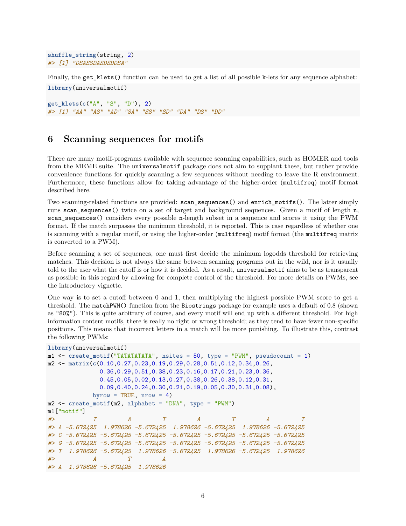```
shuffle_string(string, 2)
#> [1] "DSASSDASDSDDSA"
```
Finally, the get\_klets() function can be used to get a list of all possible k-lets for any sequence alphabet: **library**(universalmotif)

**get\_klets**(**c**("A", "S", "D"), 2) *#> [1] "AA" "AS" "AD" "SA" "SS" "SD" "DA" "DS" "DD"*

#### <span id="page-5-0"></span>**6 Scanning sequences for motifs**

There are many motif-programs available with sequence scanning capabilities, such as [HOMER](http://homer.ucsd.edu/homer/index.html) and tools from the [MEME suite.](http://meme-suite.org/) The universalmotif package does not aim to supplant these, but rather provide convenience functions for quickly scanning a few sequences without needing to leave the R environment. Furthermore, these functions allow for taking advantage of the higher-order (multifreq) motif format described here.

Two scanning-related functions are provided: scan\_sequences() and enrich\_motifs(). The latter simply runs scan sequences() twice on a set of target and background sequences. Given a motif of length n, scan\_sequences() considers every possible n-length subset in a sequence and scores it using the PWM format. If the match surpasses the minimum threshold, it is reported. This is case regardless of whether one is scanning with a regular motif, or using the higher-order (multifreq) motif format (the multifreq matrix is converted to a PWM).

Before scanning a set of sequences, one must first decide the minimum logodds threshold for retrieving matches. This decision is not always the same between scanning programs out in the wild, nor is it usually told to the user what the cutoff is or how it is decided. As a result, universalmotif aims to be as transparent as possible in this regard by allowing for complete control of the threshold. For more details on PWMs, see the [introductory](#page-0-1) vignette.

One way is to set a cutoff between 0 and 1, then multiplying the highest possible PWM score to get a threshold. The matchPWM() function from the Biostrings package for example uses a default of 0.8 (shown as "80%"). This is quite arbitrary of course, and every motif will end up with a different threshold. For high information content motifs, there is really no right or wrong threshold; as they tend to have fewer non-specific positions. This means that incorrect letters in a match will be more punishing. To illustrate this, contrast the following PWMs:

```
library(universalmotif)
m1 <- create motif<sup>("TATATATATA", nsites = 50, type = "PWM", pseudocount = 1)</sup>
m2 <- matrix(c(0.10,0.27,0.23,0.19,0.29,0.28,0.51,0.12,0.34,0.26,
             0.36,0.29,0.51,0.38,0.23,0.16,0.17,0.21,0.23,0.36,
             0.45,0.05,0.02,0.13,0.27,0.38,0.26,0.38,0.12,0.31,
             0.09,0.40,0.24,0.30,0.21,0.19,0.05,0.30,0.31,0.08),
           byrow = TRUE, nrow = 4)
m2 <- create_motif(m2, alphabet = "DNA", type = "PWM")
m1["motif"]
#> T A T A T A T
#> A -5.672425 1.978626 -5.672425 1.978626 -5.672425 1.978626 -5.672425
#> C -5.672425 -5.672425 -5.672425 -5.672425 -5.672425 -5.672425 -5.672425
#> G -5.672425 -5.672425 -5.672425 -5.672425 -5.672425 -5.672425 -5.672425
#> T 1.978626 -5.672425 1.978626 -5.672425 1.978626 -5.672425 1.978626
#> A T A
#> A 1.978626 -5.672425 1.978626
```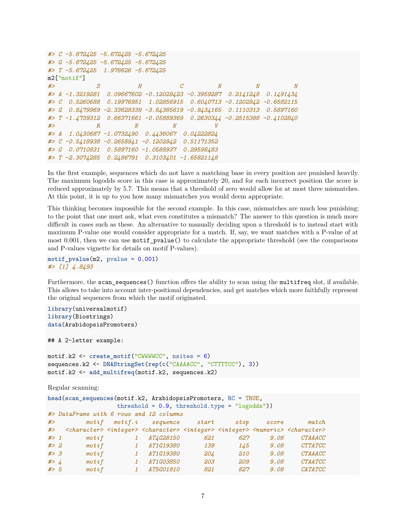```
#> C -5.672425 -5.672425 -5.672425
#> G -5.672425 -5.672425 -5.672425
#> T -5.672425 1.978626 -5.672425
m2["motif"]
#> S H C N N N
#> A -1.3219281 0.09667602 -0.12029423 -0.3959287 0.2141248 0.1491434
#> C 0.5260688 0.19976951 1.02856915 0.6040713 -0.1202942 -0.6582115
#> G 0.8479969 -2.33628339 -3.64385619 -0.9434165 0.1110313 0.5897160
#> T -1.4739312 0.66371661 -0.05889369 0.2630344 -0.2515388 -0.4102840
#> R N N V
#> A 1.0430687 -1.0732490 0.4436067 0.04222824
#> C -0.5418938 -0.2658941 -0.1202942 0.51171352
#> G 0.0710831 0.5897160 -1.0588937 0.29598483
#> T -2.3074285 0.2486791 0.3103401 -1.65821148
```
In the first example, sequences which do not have a matching base in every position are punished heavily. The maximum logodds score in this case is approximately 20, and for each incorrect position the score is reduced approximately by 5.7. This means that a threshold of zero would allow for at most three mismatches. At this point, it is up to you how many mismatches you would deem appropriate.

This thinking becomes impossible for the second example. In this case, mismatches are much less punishing; to the point that one must ask, what even constitutes a mismatch? The answer to this question is much more difficult in cases such as these. An alternative to manually deciding upon a threshold is to instead start with maximum P-value one would consider appropriate for a match. If, say, we want matches with a P-value of at most 0.001, then we can use motif\_pvalue() to calculate the appropriate threshold (see the [comparisons](#page-0-1) [and P-values](#page-0-1) vignette for details on motif P-values).

```
motif_pvalue(m2, pvalue = 0.001)
#> [1] 4.8493
```
Furthermore, the scan\_sequences() function offers the ability to scan using the multifreq slot, if available. This allows to take into account inter-positional dependencies, and get matches which more faithfully represent the original sequences from which the motif originated.

```
library(universalmotif)
library(Biostrings)
data(ArabidopsisPromoters)
## A 2-letter example:
motif.k2 <- create_motif("CWWWWCC", nsites = 6)
sequences.k2 <- DNAStringSet(rep(c("CAAAACC", "CTTTTCC"), 3))
motif.k2 <- add_multifreq(motif.k2, sequences.k2)
```
Regular scanning:

```
head(scan_sequences(motif.k2, ArabidopsisPromoters, RC = TRUE,
             threshold = 0.9, threshold.type = "logodds"))
#> DataFrame with 6 rows and 12 columns
#> motif motif.i sequence start stop score match
#> <character> <integer> <character> <integer> <integer> <numeric> <character>
#> 1 motif 1 AT4G28150 621 627 9.08 CTAAACC
#> 2 motif 1 AT1G19380 139 145 9.08 CTTATCC
#> 3 motif 1 AT1G19380 204 210 9.08 CTAAACC
#> 4 motif 1 AT1G03850 203 209 9.08 CTAATCC
#> 5 motif 1 AT5G01810 821 827 9.08 CATATCC
```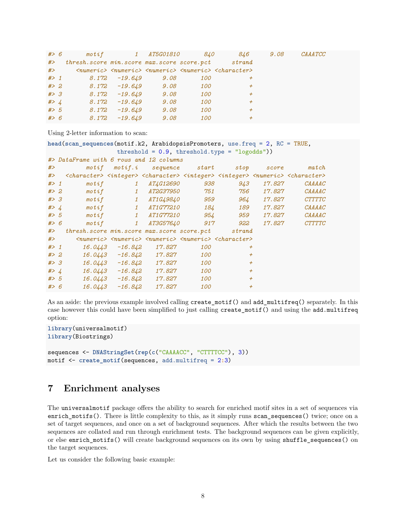| #> 6  |                                                       |               | motif 1 AT5G01810 840 |     | 846                                                                                              | 9.08 | $\mathit{CAA} \mathit{TCC}$ |  |
|-------|-------------------------------------------------------|---------------|-----------------------|-----|--------------------------------------------------------------------------------------------------|------|-----------------------------|--|
| #>    | thresh. score min. score max. score score. pct strand |               |                       |     |                                                                                                  |      |                             |  |
| $\#$  |                                                       |               |                       |     | $\langle$ numeric> $\langle$ numeric> $\langle$ numeric> $\langle$ numeric> $\langle$ character> |      |                             |  |
|       | $# > 1$ 8.172 -19.649 9.08                            |               |                       | 100 |                                                                                                  |      |                             |  |
| # > 2 | $8.172$ $-19.649$ $9.08$                              |               |                       | 100 | $^{+}$                                                                                           |      |                             |  |
| #> 3  | 8.172                                                 | -19.649       | 9.08                  | 100 | $^{+}$                                                                                           |      |                             |  |
| # > 4 |                                                       | 8.172 -19.649 | 9.08                  | 100 | $+$                                                                                              |      |                             |  |
| # > 5 | 8.172                                                 | -19.649       | 9.08                  | 100 | $+$                                                                                              |      |                             |  |
| # > 6 | 8.172                                                 | -19.649       | 9.08                  | 100 |                                                                                                  |      |                             |  |

Using 2-letter information to scan:

```
head(scan_sequences(motif.k2, ArabidopsisPromoters, use.freq = 2, RC = TRUE,
             threshold = 0.9, threshold.type = "logodds"))
#> DataFrame with 6 rows and 12 columns
#> motif motif.i sequence start stop score match
#> <character> <integer> <character> <integer> <integer> <numeric> <character>
#> 1 motif 1 AT4G12690 938 943 17.827 CAAAAC
#> 2 motif 1 AT2G37950 751 756 17.827 CAAAAC
#> 3 motif 1 AT1G49840 959 964 17.827 CTTTTC
#> 4 motif 1 AT1G77210 184 189 17.827 CAAAAC
#> 5 motif 1 AT1G77210 954 959 17.827 CAAAAC
#> 6 motif 1 AT3G57640 917 922 17.827 CTTTTC
#> thresh.score min.score max.score score.pct strand
#> <numeric> <numeric> <numeric> <numeric> <character>
#> 1 16.0443 -16.842 17.827 100 +
#> 2 16.0443 -16.842 17.827 100 +
#> 3 16.0443 -16.842 17.827 100 +
#> 4 16.0443 -16.842 17.827 100 +
#> 5 16.0443 -16.842 17.827 100 +
#> 6 16.0443 -16.842 17.827 100 +
```
As an aside: the previous example involved calling create\_motif() and add\_multifreq() separately. In this case however this could have been simplified to just calling create\_motif() and using the add.multifreq option:

```
library(universalmotif)
library(Biostrings)
sequences <- DNAStringSet(rep(c("CAAAACC", "CTTTTCC"), 3))
motif <- create_motif(sequences, add.multifreq = 2:3)
```
### <span id="page-7-0"></span>**7 Enrichment analyses**

The universalmotif package offers the ability to search for enriched motif sites in a set of sequences via enrich\_motifs(). There is little complexity to this, as it simply runs scan\_sequences() twice; once on a set of target sequences, and once on a set of background sequences. After which the results between the two sequences are collated and run through enrichment tests. The background sequences can be given explicitly, or else enrich\_motifs() will create background sequences on its own by using shuffle\_sequences() on the target sequences.

Let us consider the following basic example: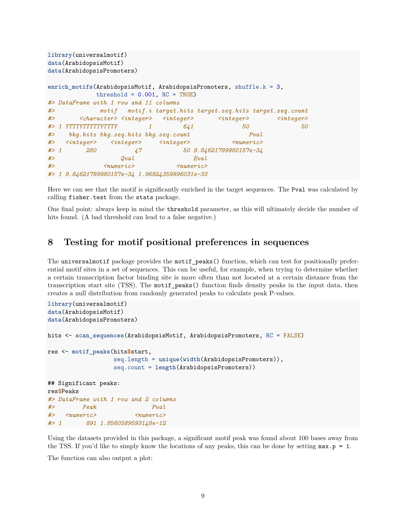```
library(universalmotif)
data(ArabidopsisMotif)
data(ArabidopsisPromoters)
enrich_motifs(ArabidopsisMotif, ArabidopsisPromoters, shuffle.k = 3,
          threshold = 0.001, RC = TRUE)
#> DataFrame with 1 row and 11 columns
#> motif motif.i target.hits target.seq.hits target.seq.count
#> <character> <integer> <integer> <integer> <integer>
#> 1 YTTTYTTTTTYTTTY 1 641 50 50
#> bkg.hits bkg.seq.hits bkg.seq.count Pval
#> <integer> <integer> <integer> <numeric>
#> 1 280 47 50 9.84621799980157e-34
#> Qval Eval
#> <numeric> <numeric>
#> 1 9.84621799980157e-34 1.96924359996031e-33
```
Here we can see that the motif is significantly enriched in the target sequences. The Pval was calculated by calling fisher.test from the stats package.

One final point: always keep in mind the threshold parameter, as this will ultimately decide the number of hits found. (A bad threshold can lead to a false negative.)

#### <span id="page-8-0"></span>**8 Testing for motif positional preferences in sequences**

The universalmotif package provides the motif\_peaks() function, which can test for positionally preferential motif sites in a set of sequences. This can be useful, for example, when trying to determine whether a certain transcription factor binding site is more often than not located at a certain distance from the transcription start site (TSS). The motif\_peaks() function finds density peaks in the input data, then creates a null distribution from randomly generated peaks to calculate peak P-values.

```
library(universalmotif)
data(ArabidopsisMotif)
data(ArabidopsisPromoters)
hits <- scan_sequences(ArabidopsisMotif, ArabidopsisPromoters, RC = FALSE)
res <- motif_peaks(hits$start,
                 seq.length = unique(width(ArabidopsisPromoters)),
                 seq.count = length(ArabidopsisPromoters))
## Significant peaks:
res$Peaks
#> DataFrame with 1 row and 2 columns
#> Peak Pval
#> <numeric> <numeric>
#> 1 891 1.8560589593148e-12
```
Using the datasets provided in this package, a significant motif peak was found about 100 bases away from the TSS. If you'd like to simply know the locations of any peaks, this can be done by setting  $max.p = 1$ .

The function can also output a plot: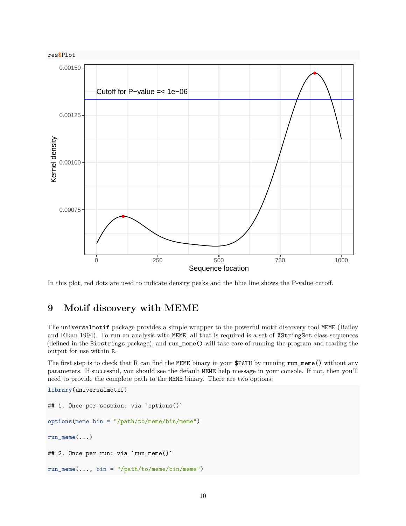

In this plot, red dots are used to indicate density peaks and the blue line shows the P-value cutoff.

# <span id="page-9-0"></span>**9 Motif discovery with MEME**

The universalmotif package provides a simple wrapper to the powerful motif discovery tool MEME (Bailey and Elkan 1994). To run an analysis with MEME, all that is required is a set of XStringSet class sequences (defined in the Biostrings package), and run\_meme() will take care of running the program and reading the output for use within R.

The first step is to check that R can find the MEME binary in your \$PATH by running run\_meme() without any parameters. If successful, you should see the default MEME help message in your console. If not, then you'll need to provide the complete path to the MEME binary. There are two options:

```
library(universalmotif)
## 1. Once per session: via `options()`
options(meme.bin = "/path/to/meme/bin/meme")
run_meme(...)
## 2. Once per run: via `run_meme()`
run_meme(..., bin = "/path/to/meme/bin/meme")
```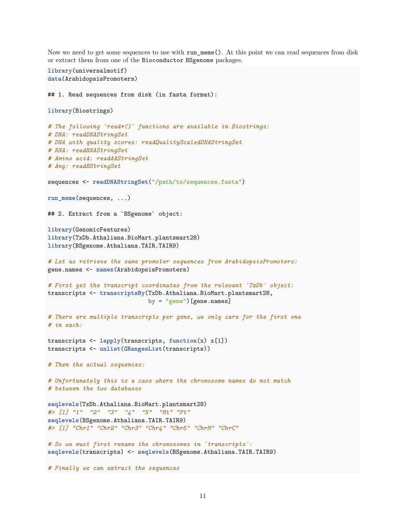Now we need to get some sequences to use with run meme(). At this point we can read sequences from disk or extract them from one of the Bioconductor BSgenome packages.

```
library(universalmotif)
data(ArabidopsisPromoters)
## 1. Read sequences from disk (in fasta format):
library(Biostrings)
# The following `read*()` functions are available in Biostrings:
# DNA: readDNAStringSet
# DNA with quality scores: readQualityScaledDNAStringSet
# RNA: readRNAStringSet
# Amino acid: readAAStringSet
# Any: readBStringSet
sequences <- readDNAStringSet("/path/to/sequences.fasta")
run_meme(sequences, ...)
## 2. Extract from a `BSgenome` object:
library(GenomicFeatures)
library(TxDb.Athaliana.BioMart.plantsmart28)
library(BSgenome.Athaliana.TAIR.TAIR9)
# Let us retrieve the same promoter sequences from ArabidopsisPromoters:
gene.names <- names(ArabidopsisPromoters)
# First get the transcript coordinates from the relevant `TxDb` object:
transcripts <- transcriptsBy(TxDb.Athaliana.BioMart.plantsmart28,
                             by = "gene")[gene.names]
# There are multiple transcripts per gene, we only care for the first one
# in each:
transcripts <- lapply(transcripts, function(x) x[1])
transcripts <- unlist(GRangesList(transcripts))
# Then the actual sequences:
# Unfortunately this is a case where the chromosome names do not match
# between the two databases
seqlevels(TxDb.Athaliana.BioMart.plantsmart28)
#> [1] "1" "2" "3" "4" "5" "Mt" "Pt"
seqlevels(BSgenome.Athaliana.TAIR.TAIR9)
#> [1] "Chr1" "Chr2" "Chr3" "Chr4" "Chr5" "ChrM" "ChrC"
# So we must first rename the chromosomes in `transcripts`:
seqlevels(transcripts) <- seqlevels(BSgenome.Athaliana.TAIR.TAIR9)
# Finally we can extract the sequences
```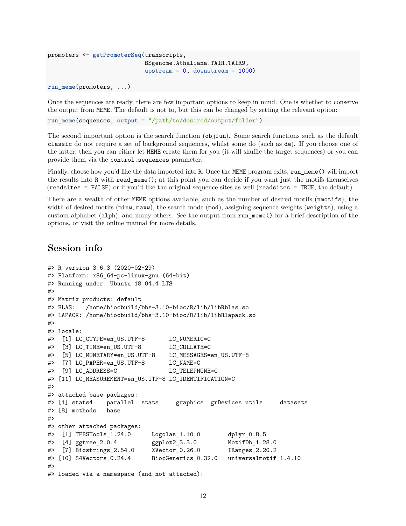```
promoters <- getPromoterSeq(transcripts,
                            BSgenome.Athaliana.TAIR.TAIR9,
                            upstream = 0, downstream = 1000)
```

```
run_meme(promoters, ...)
```
Once the sequences are ready, there are few important options to keep in mind. One is whether to conserve the output from MEME. The default is not to, but this can be changed by setting the relevant option:

**run\_meme**(sequences, output = "/path/to/desired/output/folder")

The second important option is the search function (objfun). Some search functions such as the default classic do not require a set of background sequences, whilst some do (such as de). If you choose one of the latter, then you can either let MEME create them for you (it will shuffle the target sequences) or you can provide them via the control.sequences parameter.

Finally, choose how you'd like the data imported into R. Once the MEME program exits, run\_meme() will import the results into R with read\_meme(); at this point you can decide if you want just the motifs themselves (readsites = FALSE) or if you'd like the original sequence sites as well (readsites = TRUE, the default).

There are a wealth of other MEME options available, such as the number of desired motifs (nmotifs), the width of desired motifs ( $min$ ,  $max$ ), the search mode ( $mod$ ), assigning sequence weights ( $weight$ s), using a custom alphabet (alph), and many others. See the output from run\_meme() for a brief description of the options, or visit the [online manual](http://meme-suite.org/doc/meme.html) for more details.

#### <span id="page-11-0"></span>**Session info**

```
#> R version 3.6.3 (2020-02-29)
#> Platform: x86_64-pc-linux-gnu (64-bit)
#> Running under: Ubuntu 18.04.4 LTS
#>
#> Matrix products: default
#> BLAS: /home/biocbuild/bbs-3.10-bioc/R/lib/libRblas.so
#> LAPACK: /home/biocbuild/bbs-3.10-bioc/R/lib/libRlapack.so
#>
#> locale:
#> [1] LC_CTYPE=en_US.UTF-8 LC_NUMERIC=C
#> [3] LC_TIME=en_US.UTF-8 LC_COLLATE=C
#> [5] LC_MONETARY=en_US.UTF-8 LC_MESSAGES=en_US.UTF-8
#> [7] LC_PAPER=en_US.UTF-8 LC_NAME=C
#> [9] LC_ADDRESS=C LC_TELEPHONE=C
#> [11] LC_MEASUREMENT=en_US.UTF-8 LC_IDENTIFICATION=C
#>
#> attached base packages:
#> [1] stats4 parallel stats graphics grDevices utils datasets
#> [8] methods base
#>
#> other attached packages:
#> [1] TFBSTools_1.24.0 Logolas_1.10.0 dplyr_0.8.5
#> [4] ggtree_2.0.4 ggplot2_3.3.0 MotifDb_1.28.0
#> [7] Biostrings_2.54.0 XVector_0.26.0 IRanges_2.20.2
#> [10] S4Vectors_0.24.4 BiocGenerics_0.32.0 universalmotif_1.4.10
#>
#> loaded via a namespace (and not attached):
```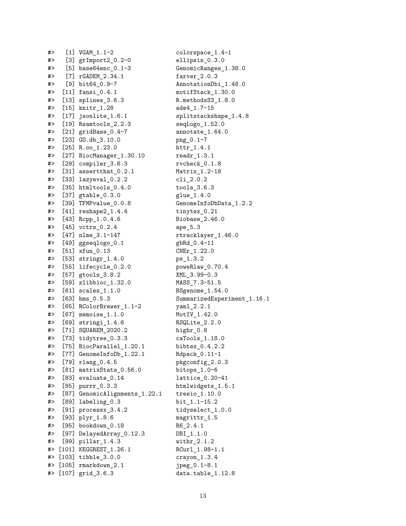| #> | $[1]$   | VGAM 1.1-2               | C            |
|----|---------|--------------------------|--------------|
| #> | [3]     | grImport2_0.2-0          | e            |
| #> | [5]     | base64enc_0.1-3          | G            |
| #> | [7]     | rGADEM_2.34.1            | f            |
| #> | [9]     | bit64_0.9-7              | А            |
| #> | $[11]$  | $fansi_0.4.1$            | m            |
| #> | [13]    | $splines_3.6.3$          | R            |
| #> | $[15]$  | $knitr_1.28$             | a            |
| #> | $[17]$  | jsonlite_1.6.1           | s            |
| #> | [19]    | Rsamtools_2.2.3          | S            |
| #> | [21]    | gridBase_0.4-7           | a            |
| #> | [23]    | $GD. db_3.10.0$          | p            |
| #> | [25]    | $R.oo_1.23.0$            | h            |
| #> | [27]    | BiocManager_1.30.10      | r            |
| #> | [29]    | compiler_3.6.3           | r            |
| #> | [31]    | assertthat_0.2.1         | Μ            |
| #> | [33]    | lazyeval_0.2.2           | C            |
| #> | $[35]$  | htmltools_0.4.0          | t            |
| #> | [37]    | gtable_0.3.0             |              |
| #> | [39]    | TFMPvalue_0.0.8          | g<br>G       |
| #> | [41]    | reshape2_1.4.4           | t            |
| #> | [43]    | Rcpp_1.0.4.6             | B            |
| #> | $[45]$  | $vctrs_0.2.4$            |              |
| #> | $[47]$  | nlme_3.1-147             | a            |
| #> |         |                          | r            |
|    | [49]    | ggseqlogo_0.1            | g            |
| #> | $[51]$  | $xfun_0.13$              | C            |
| #> | [53]    | $stringr_1.4.0$          | p            |
| #> | [55]    | lifecycle_0.2.0          | p            |
| #> | [57]    | gtools_3.8.2             | χ            |
| #> | [59]    | zlibbioc_1.32.0          | Μ            |
| #> | [61]    | $scales_1.1.0$           | В            |
| #> | $[63]$  | $hms_0.5.3$              | S            |
| #> | [65]    | RColorBrewer_1.1-2       | y            |
| #> | [67]    | memoise_1.1.0            | Μ            |
| #> | $[69]$  | $stringi_1.4.6$          | R            |
| #> | $[71]$  | SQUAREM_2020.2           | h            |
| #  | [73]    | tidytree_0.3.3           | C            |
| #> | [75]    | BiocParallel_1.20.1      | b            |
| #> | [77]    | GenomeInfoDb_1.22.1      | R            |
| #> | $[79]$  | $rlang_0.4.5$            | p            |
| #> | [81]    | matrixStats_0.56.0       | b            |
| #> | [83]    | evaluate_0.14            | $\mathbf{1}$ |
| #> | $[85]$  | purrr_0.3.3              | h            |
| #> | [87]    | GenomicAlignments_1.22.1 | t            |
| #> | [89]    | labeling_0.3             | b            |
| #> | [91]    | processx_3.4.2           | t            |
| #> | [93]    | plyr_1.8.6               | m            |
| #> | [95]    | bookdown_0.18            | R            |
| #> | [97]    | DelayedArray_0.12.3      | D            |
| #> | $[99]$  | $pillar_1.4.3$           | W            |
| #> | $[101]$ | KEGGREST_1.26.1          | R            |
| #> | $[103]$ | tibble_3.0.0             | C            |
| #> | $[105]$ | rmarkdown_2.1            | j            |
| #> | $[107]$ | grid_3.6.3               | d            |

 $: olorspace_1.4-1$ llipsis\_0.3.0  $Hence Ranges_1.38.0$  $arver_2.0.3$  $\text{InnotationDbi}_1.48.0$  $nothing$ ifStack\_1.30.0  $...$  methods $S3_1.8.0$ de4\_1.7-15  $splitstackshape_1.4.8$  $seqLogo_1.52.0$  $\text{unnotate}\_1.64.0$  $\text{mg}_0 0.1 - 7$  $\texttt{attr1.4.1}$  $\text{`eadr}_1.3.1$  $vcheck_0.1.8$  $[atrix_1.2-18]$  $2.0.2$  $3.6.3$  $[1ue_1.4.0]$  $HennenInfoDbData_1.2.2$  $:$ inytex $_0.21$  $3iobase_2.46.0$  $npe_5.3$ tracklayer\_1.46.0  $bRd_0.4-11$  $NEr_1.22.0$  $ns_1.3.2$ oweRlaw\_0.70.4  $ML_3.99-0.3$ 1ASS\_7.3-51.5  $8$  Sgenome $1.54.0$ ummarizedExperiment\_1.16.1  $raml_2.2.1$  $IotIV_1.42.0$  $RSQLite\_2.2.0$  $\text{sign} \$ 0.8  $: aTools_1.18.0$  $bitex_0.4.2.2$  $dpack_0.11-1$  $\begin{subarray}{c} \text{ikgconfig\_2.0.3} \end{subarray}$  $\text{bitops}_1.0-6$  $attice_0.20-41$ tmlwidgets\_1.5.1  $:$  reeio\_1.10.0  $\int 1.1-15.2$  $:$ idyselect\_1.0.0 agrittr\_1.5  $16 \quad 2.4.1$  $\text{B}I_1.1.0$  $\n *nithr* _2.1.2\n$  $\text{RCurl}_1.98-1.1$  $rayon_1.3.4$  $peg_0.1-8.1$  $\mathsf{data.table}\_1.12.8$